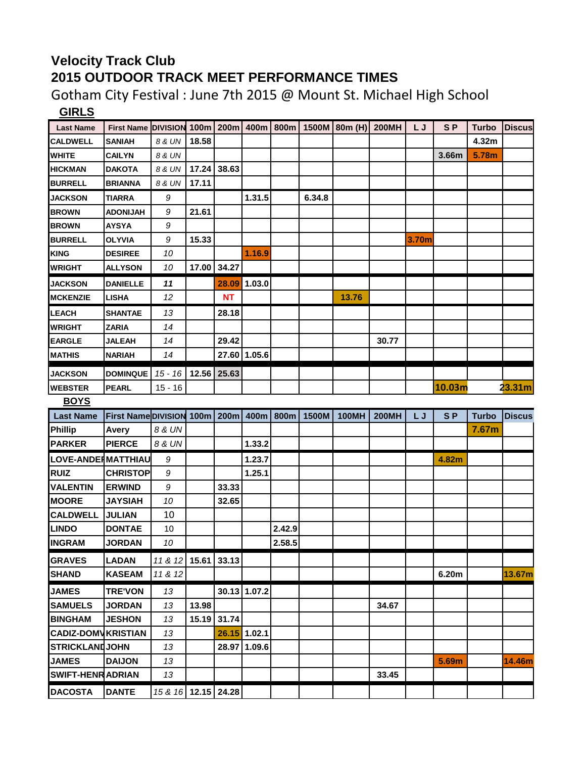## **Velocity Track Club 2015 OUTDOOR TRACK MEET PERFORMANCE TIMES**

Gotham City Festival : June 7th 2015 @ Mount St. Michael High School **GIRLS**

| $\overline{\phantom{a}}$        |                                                                         |                     |       |             |              |        |        |              |              |       |                |              |               |
|---------------------------------|-------------------------------------------------------------------------|---------------------|-------|-------------|--------------|--------|--------|--------------|--------------|-------|----------------|--------------|---------------|
| <b>Last Name</b>                | First Name DIVISION 100m   200m   400m   800m   1500M   80m (H)   200MH |                     |       |             |              |        |        |              |              | L J   | S <sub>P</sub> | <b>Turbo</b> | <b>Discus</b> |
| <b>CALDWELL</b>                 | <b>SANIAH</b>                                                           | 8 & UN              | 18.58 |             |              |        |        |              |              |       |                | 4.32m        |               |
| <b>WHITE</b>                    | <b>CAILYN</b>                                                           | 8 & UN              |       |             |              |        |        |              |              |       | 3.66m          | 5.78m        |               |
| <b>HICKMAN</b>                  | <b>DAKOTA</b>                                                           | 8 & UN              |       | 17.24 38.63 |              |        |        |              |              |       |                |              |               |
| <b>BURRELL</b>                  | <b>BRIANNA</b>                                                          | 8 & UN              | 17.11 |             |              |        |        |              |              |       |                |              |               |
| <b>JACKSON</b>                  | TIARRA                                                                  | 9                   |       |             | 1.31.5       |        | 6.34.8 |              |              |       |                |              |               |
| <b>BROWN</b>                    | <b>ADONIJAH</b>                                                         | 9                   | 21.61 |             |              |        |        |              |              |       |                |              |               |
| <b>BROWN</b>                    | <b>AYSYA</b>                                                            | 9                   |       |             |              |        |        |              |              |       |                |              |               |
| <b>BURRELL</b>                  | <b>OLYVIA</b>                                                           | 9                   | 15.33 |             |              |        |        |              |              | 3.70m |                |              |               |
| <b>KING</b>                     | <b>DESIREE</b>                                                          | 10                  |       |             | 1.16.9       |        |        |              |              |       |                |              |               |
| <b>WRIGHT</b>                   | <b>ALLYSON</b>                                                          | 10                  |       | 17.00 34.27 |              |        |        |              |              |       |                |              |               |
| <b>JACKSON</b>                  | <b>DANIELLE</b>                                                         | 11                  |       |             | 28.09 1.03.0 |        |        |              |              |       |                |              |               |
| <b>MCKENZIE</b>                 | <b>LISHA</b>                                                            | 12                  |       | NT          |              |        |        | 13.76        |              |       |                |              |               |
| LEACH                           | <b>SHANTAE</b>                                                          | 13                  |       | 28.18       |              |        |        |              |              |       |                |              |               |
| <b>WRIGHT</b>                   | <b>ZARIA</b>                                                            | 14                  |       |             |              |        |        |              |              |       |                |              |               |
| <b>EARGLE</b>                   | <b>JALEAH</b>                                                           | 14                  |       | 29.42       |              |        |        |              | 30.77        |       |                |              |               |
| <b>MATHIS</b>                   | <b>NARIAH</b>                                                           | 14                  |       |             | 27.60 1.05.6 |        |        |              |              |       |                |              |               |
| <b>JACKSON</b>                  | <b>DOMINQUE</b>                                                         | 15 - 16 12.56 25.63 |       |             |              |        |        |              |              |       |                |              |               |
| <b>WEBSTER</b>                  | <b>PEARL</b>                                                            | $15 - 16$           |       |             |              |        |        |              |              |       | 10.03m         |              | 23.31m        |
| <b>BOYS</b>                     |                                                                         |                     |       |             |              |        |        |              |              |       |                |              |               |
| <b>Last Name</b>                | First NameDIVISION 100m 200m   400m   800m   1500M                      |                     |       |             |              |        |        | <b>100MH</b> | <b>200MH</b> | LJ.   | <b>SP</b>      | <b>Turbo</b> | <b>Discus</b> |
|                                 |                                                                         |                     |       |             |              |        |        |              |              |       |                |              |               |
|                                 |                                                                         | 8 & UN              |       |             |              |        |        |              |              |       |                | 7.67m        |               |
| <b>Phillip</b><br><b>PARKER</b> | Avery<br><b>PIERCE</b>                                                  | 8 & UN              |       |             | 1.33.2       |        |        |              |              |       |                |              |               |
| LOVE-ANDERMATTHIAU              |                                                                         | 9                   |       |             | 1.23.7       |        |        |              |              |       | 4.82m          |              |               |
| <b>RUIZ</b>                     | <b>CHRISTOP</b>                                                         | 9                   |       |             | 1.25.1       |        |        |              |              |       |                |              |               |
| <b>VALENTIN</b>                 | <b>ERWIND</b>                                                           | 9                   |       | 33.33       |              |        |        |              |              |       |                |              |               |
| <b>MOORE</b>                    | <b>JAYSIAH</b>                                                          | 10                  |       | 32.65       |              |        |        |              |              |       |                |              |               |
| <b>CALDWELL</b>                 | <b>JULIAN</b>                                                           | 10                  |       |             |              |        |        |              |              |       |                |              |               |
| <b>LINDO</b>                    | <b>DONTAE</b>                                                           | 10                  |       |             |              | 2.42.9 |        |              |              |       |                |              |               |
| <b>INGRAM</b>                   | <b>JORDAN</b>                                                           | 10                  |       |             |              | 2.58.5 |        |              |              |       |                |              |               |
| <b>GRAVES</b>                   | <b>LADAN</b>                                                            | 11 & 12 15.61       |       | 33.13       |              |        |        |              |              |       |                |              |               |
| <b>SHAND</b>                    | <b>KASEAM</b>                                                           | 11 & 12             |       |             |              |        |        |              |              |       | 6.20m          |              | 13.67m        |
| <b>JAMES</b>                    | <b>TRE'VON</b>                                                          | 13                  |       |             | 30.13 1.07.2 |        |        |              |              |       |                |              |               |
| <b>SAMUELS</b>                  | <b>JORDAN</b>                                                           | 13                  | 13.98 |             |              |        |        |              | 34.67        |       |                |              |               |
| <b>BINGHAM</b>                  | <b>JESHON</b>                                                           | 13                  | 15.19 | 31.74       |              |        |        |              |              |       |                |              |               |
| <b>CADIZ-DOMVKRISTIAN</b>       |                                                                         | 13                  |       |             | 26.15 1.02.1 |        |        |              |              |       |                |              |               |
| <b>STRICKLANDJOHN</b>           |                                                                         | 13                  |       |             | 28.97 1.09.6 |        |        |              |              |       |                |              |               |
| <b>JAMES</b>                    | <b>DAIJON</b>                                                           | 13                  |       |             |              |        |        |              |              |       | 5.69m          |              |               |
| <b>SWIFT-HENR ADRIAN</b>        |                                                                         | 13                  |       |             |              |        |        |              | 33.45        |       |                |              | 14.46m        |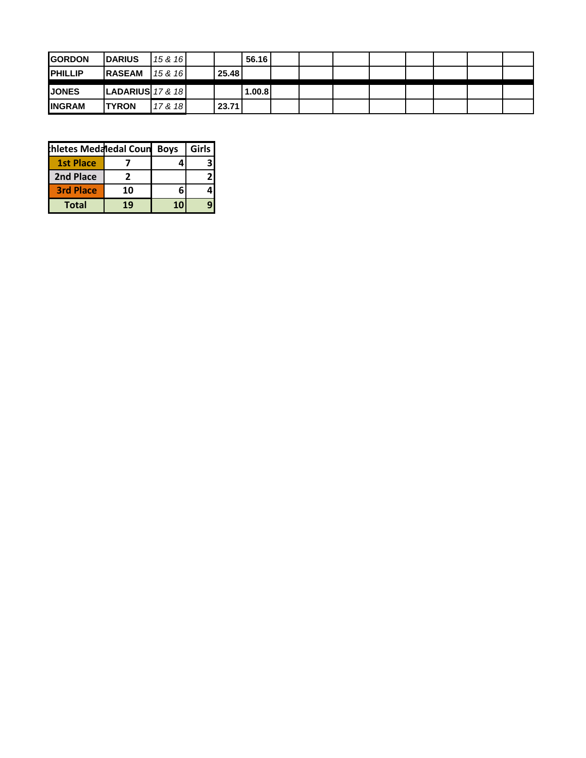| <b>GORDON</b>   | <b>IDARIUS</b>           | 15 & 16 |        | 56.16  |  |  |  |  |
|-----------------|--------------------------|---------|--------|--------|--|--|--|--|
| <b>IPHILLIP</b> | <b>IRASEAM</b>           | 15 & 16 | 25.48  |        |  |  |  |  |
| <b>IJONES</b>   | $ $ LADARIUS $ $ 17 & 18 |         |        | 1.00.8 |  |  |  |  |
| <b>INGRAM</b>   | <b>ITYRON</b>            | 17 & 18 | 23.711 |        |  |  |  |  |

| hletes Medaledal Coun |    | <b>Boys</b> | Girls |
|-----------------------|----|-------------|-------|
| <b>1st Place</b>      |    |             |       |
| 2nd Place             |    |             |       |
| <b>3rd Place</b>      | 10 |             |       |
| <b>Total</b>          | 19 |             |       |